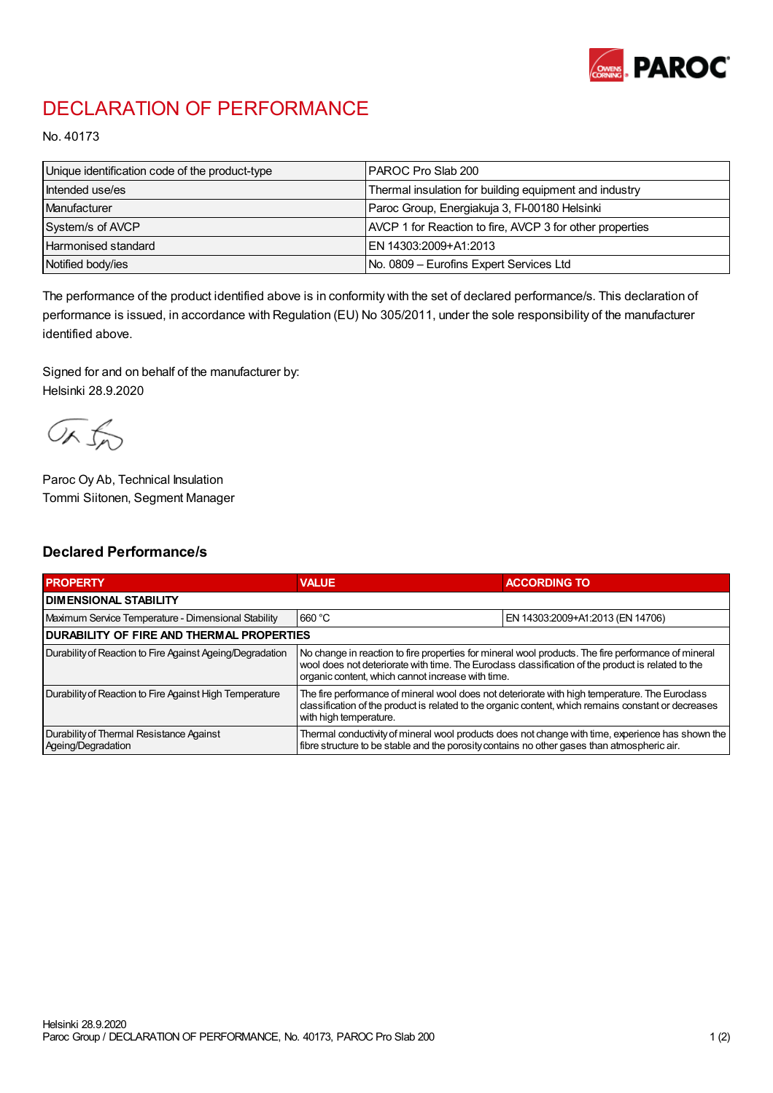

## DECLARATION OF PERFORMANCE

No. 40173

| Unique identification code of the product-type | PAROC Pro Slab 200                                       |
|------------------------------------------------|----------------------------------------------------------|
| Intended use/es                                | Thermal insulation for building equipment and industry   |
| Manufacturer                                   | Paroc Group, Energiakuja 3, FI-00180 Helsinki            |
| System/s of AVCP                               | AVCP 1 for Reaction to fire, AVCP 3 for other properties |
| <b>Harmonised standard</b>                     | EN 14303:2009+A1:2013                                    |
| Notified body/ies                              | No. 0809 - Eurofins Expert Services Ltd                  |

The performance of the product identified above is in conformity with the set of declared performance/s. This declaration of performance is issued, in accordance with Regulation (EU) No 305/2011, under the sole responsibility of the manufacturer identified above.

Signed for and on behalf of the manufacturer by: Helsinki 28.9.2020

ORJO

Paroc Oy Ab, Technical Insulation Tommi Siitonen, Segment Manager

## Declared Performance/s

| <b>PROPERTY</b>                                                | <b>VALUE</b>                                                                                                                                                                                                                                                   | <b>ACCORDING TO</b>              |  |
|----------------------------------------------------------------|----------------------------------------------------------------------------------------------------------------------------------------------------------------------------------------------------------------------------------------------------------------|----------------------------------|--|
| <b>I DIMENSIONAL STABILITY</b>                                 |                                                                                                                                                                                                                                                                |                                  |  |
| Maximum Service Temperature - Dimensional Stability            | 660 °C                                                                                                                                                                                                                                                         | EN 14303:2009+A1:2013 (EN 14706) |  |
| <b>DURABILITY OF FIRE AND THERMAL PROPERTIES</b>               |                                                                                                                                                                                                                                                                |                                  |  |
| Durability of Reaction to Fire Against Ageing/Degradation      | No change in reaction to fire properties for mineral wool products. The fire performance of mineral<br>wool does not deteriorate with time. The Euroclass classification of the product is related to the<br>organic content, which cannot increase with time. |                                  |  |
| Durability of Reaction to Fire Against High Temperature        | The fire performance of mineral wool does not deteriorate with high temperature. The Euroclass<br>classification of the product is related to the organic content, which remains constant or decreases<br>with high temperature.                               |                                  |  |
| Durability of Thermal Resistance Against<br>Ageing/Degradation | Thermal conductivity of mineral wool products does not change with time, experience has shown the<br>fibre structure to be stable and the porosity contains no other gases than atmospheric air.                                                               |                                  |  |